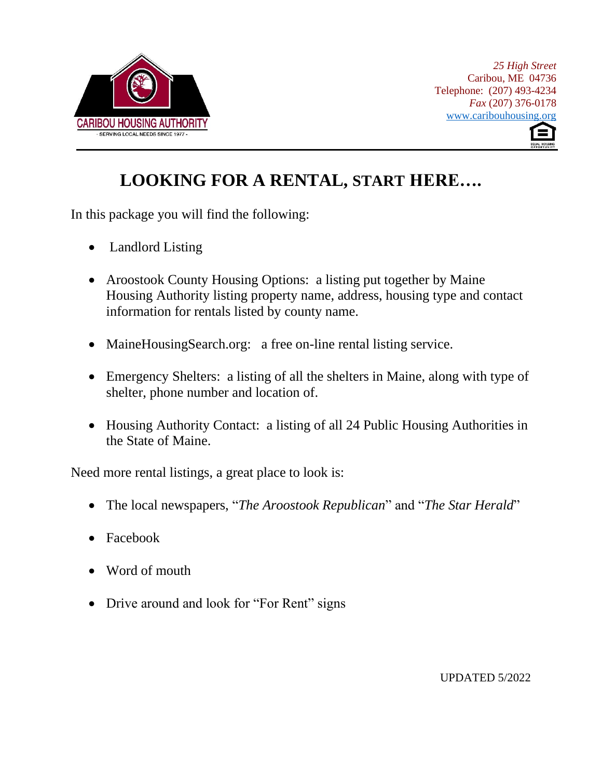



# **LOOKING FOR A RENTAL, START HERE….**

In this package you will find the following:

- Landlord Listing
- Aroostook County Housing Options: a listing put together by Maine Housing Authority listing property name, address, housing type and contact information for rentals listed by county name.
- MaineHousingSearch.org: a free on-line rental listing service.
- Emergency Shelters: a listing of all the shelters in Maine, along with type of shelter, phone number and location of.
- Housing Authority Contact: a listing of all 24 Public Housing Authorities in the State of Maine.

Need more rental listings, a great place to look is:

- The local newspapers, "*The Aroostook Republican*" and "*The Star Herald*"
- Facebook
- Word of mouth
- Drive around and look for "For Rent" signs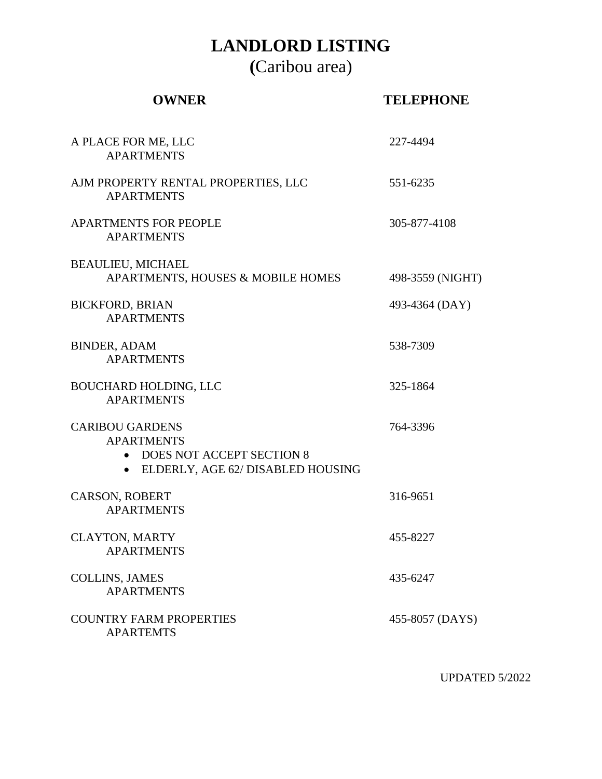# **LANDLORD LISTING**

**(**Caribou area)

| <b>OWNER</b>                                                                                                      | <b>TELEPHONE</b> |
|-------------------------------------------------------------------------------------------------------------------|------------------|
| A PLACE FOR ME, LLC<br><b>APARTMENTS</b>                                                                          | 227-4494         |
| AJM PROPERTY RENTAL PROPERTIES, LLC<br><b>APARTMENTS</b>                                                          | 551-6235         |
| <b>APARTMENTS FOR PEOPLE</b><br><b>APARTMENTS</b>                                                                 | 305-877-4108     |
| <b>BEAULIEU, MICHAEL</b><br>APARTMENTS, HOUSES & MOBILE HOMES                                                     | 498-3559 (NIGHT) |
| <b>BICKFORD, BRIAN</b><br><b>APARTMENTS</b>                                                                       | 493-4364 (DAY)   |
| <b>BINDER, ADAM</b><br><b>APARTMENTS</b>                                                                          | 538-7309         |
| <b>BOUCHARD HOLDING, LLC</b><br><b>APARTMENTS</b>                                                                 | 325-1864         |
| <b>CARIBOU GARDENS</b><br><b>APARTMENTS</b><br>• DOES NOT ACCEPT SECTION 8<br>• ELDERLY, AGE 62/ DISABLED HOUSING | 764-3396         |
| <b>CARSON, ROBERT</b><br><b>APARTMENTS</b>                                                                        | 316-9651         |
| <b>CLAYTON, MARTY</b><br><b>APARTMENTS</b>                                                                        | 455-8227         |
| <b>COLLINS, JAMES</b><br><b>APARTMENTS</b>                                                                        | 435-6247         |
| <b>COUNTRY FARM PROPERTIES</b><br><b>APARTEMTS</b>                                                                | 455-8057 (DAYS)  |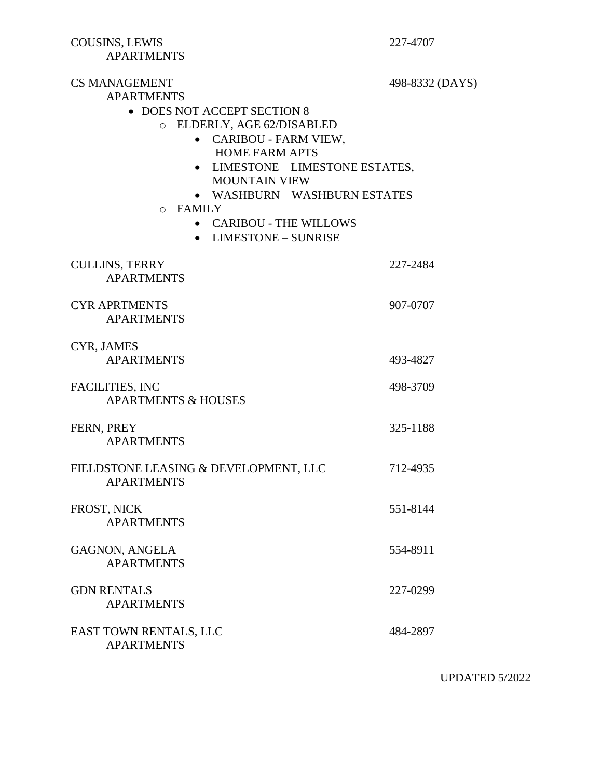COUSINS, LEWIS 227-4707 APARTMENTS

CS MANAGEMENT 498-8332 (DAYS) APARTMENTS • DOES NOT ACCEPT SECTION 8 o ELDERLY, AGE 62/DISABLED • CARIBOU - FARM VIEW, HOME FARM APTS • LIMESTONE – LIMESTONE ESTATES, MOUNTAIN VIEW • WASHBURN – WASHBURN ESTATES o FAMILY • CARIBOU - THE WILLOWS • LIMESTONE – SUNRISE CULLINS, TERRY 227-2484 APARTMENTS CYR APRTMENTS 907-0707 APARTMENTS CYR, JAMES APARTMENTS 493-4827 FACILITIES, INC 498-3709 APARTMENTS & HOUSES FERN, PREY 325-1188 APARTMENTS FIELDSTONE LEASING & DEVELOPMENT, LLC 712-4935 APARTMENTS FROST, NICK 551-8144 APARTMENTS GAGNON, ANGELA 554-8911 APARTMENTS GDN RENTALS 227-0299 APARTMENTS EAST TOWN RENTALS, LLC 484-2897

APARTMENTS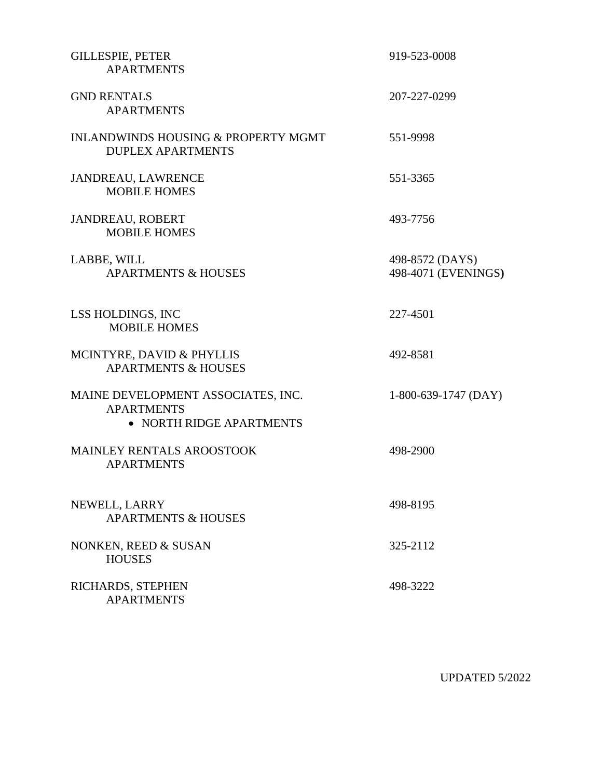| <b>GILLESPIE, PETER</b><br><b>APARTMENTS</b>                                        | 919-523-0008                           |
|-------------------------------------------------------------------------------------|----------------------------------------|
| <b>GND RENTALS</b><br><b>APARTMENTS</b>                                             | 207-227-0299                           |
| <b>INLANDWINDS HOUSING &amp; PROPERTY MGMT</b><br><b>DUPLEX APARTMENTS</b>          | 551-9998                               |
| JANDREAU, LAWRENCE<br><b>MOBILE HOMES</b>                                           | 551-3365                               |
| <b>JANDREAU, ROBERT</b><br><b>MOBILE HOMES</b>                                      | 493-7756                               |
| LABBE, WILL<br><b>APARTMENTS &amp; HOUSES</b>                                       | 498-8572 (DAYS)<br>498-4071 (EVENINGS) |
| LSS HOLDINGS, INC<br><b>MOBILE HOMES</b>                                            | 227-4501                               |
| MCINTYRE, DAVID & PHYLLIS<br><b>APARTMENTS &amp; HOUSES</b>                         | 492-8581                               |
| MAINE DEVELOPMENT ASSOCIATES, INC.<br><b>APARTMENTS</b><br>• NORTH RIDGE APARTMENTS | $1-800-639-1747$ (DAY)                 |
| MAINLEY RENTALS AROOSTOOK<br><b>APARTMENTS</b>                                      | 498-2900                               |
| NEWELL, LARRY<br><b>APARTMENTS &amp; HOUSES</b>                                     | 498-8195                               |
| NONKEN, REED & SUSAN<br><b>HOUSES</b>                                               | 325-2112                               |
| RICHARDS, STEPHEN<br><b>APARTMENTS</b>                                              | 498-3222                               |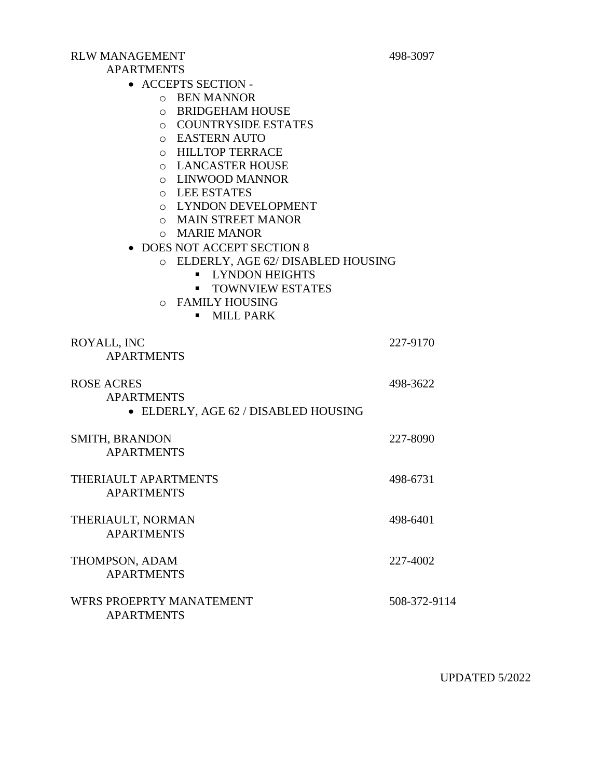#### RLW MANAGEMENT 498-3097

#### APARTMENTS

• ACCEPTS SECTION -

- o BEN MANNOR
- o BRIDGEHAM HOUSE
- o COUNTRYSIDE ESTATES
- o EASTERN AUTO
- o HILLTOP TERRACE
- o LANCASTER HOUSE
- o LINWOOD MANNOR
- o LEE ESTATES
- o LYNDON DEVELOPMENT
- o MAIN STREET MANOR
- o MARIE MANOR
- DOES NOT ACCEPT SECTION 8
	- o ELDERLY, AGE 62/ DISABLED HOUSING
		- **LYNDON HEIGHTS**
		- **TOWNVIEW ESTATES**
	- o FAMILY HOUSING
		- **■** MILL PARK

| ROYALL, INC                          | 227-9170     |
|--------------------------------------|--------------|
| <b>APARTMENTS</b>                    |              |
| <b>ROSE ACRES</b>                    | 498-3622     |
| <b>APARTMENTS</b>                    |              |
| • ELDERLY, AGE 62 / DISABLED HOUSING |              |
| <b>SMITH, BRANDON</b>                | 227-8090     |
| <b>APARTMENTS</b>                    |              |
| THERIAULT APARTMENTS                 | 498-6731     |
| <b>APARTMENTS</b>                    |              |
| THERIAULT, NORMAN                    | 498-6401     |
| <b>APARTMENTS</b>                    |              |
| THOMPSON, ADAM                       | 227-4002     |
| <b>APARTMENTS</b>                    |              |
| WFRS PROEPRTY MANATEMENT             | 508-372-9114 |
|                                      |              |

APARTMENTS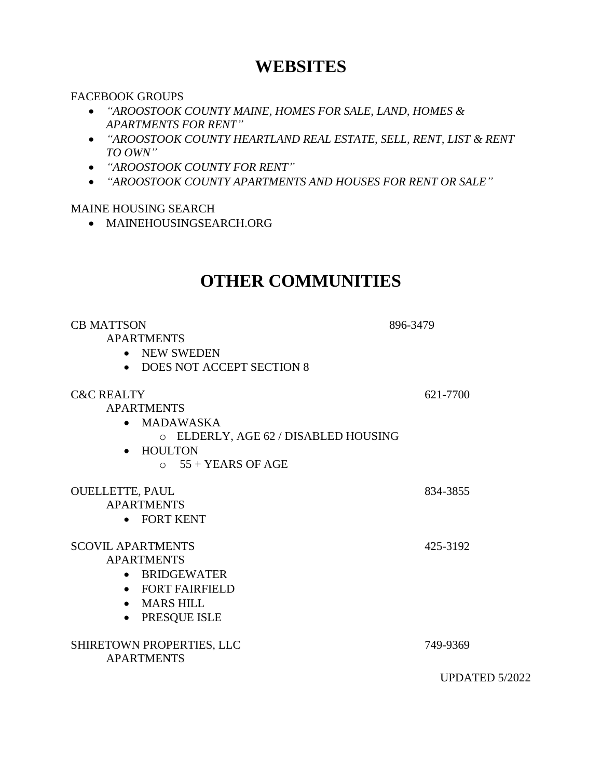## **WEBSITES**

#### FACEBOOK GROUPS

- *"AROOSTOOK COUNTY MAINE, HOMES FOR SALE, LAND, HOMES & APARTMENTS FOR RENT"*
- *"AROOSTOOK COUNTY HEARTLAND REAL ESTATE, SELL, RENT, LIST & RENT TO OWN"*
- *"AROOSTOOK COUNTY FOR RENT"*
- *"AROOSTOOK COUNTY APARTMENTS AND HOUSES FOR RENT OR SALE"*

### MAINE HOUSING SEARCH

• MAINEHOUSINGSEARCH.ORG

## **OTHER COMMUNITIES**

| <b>CB MATTSON</b><br><b>APARTMENTS</b><br><b>NEW SWEDEN</b><br>$\bullet$<br>• DOES NOT ACCEPT SECTION 8                                                            | 896-3479       |
|--------------------------------------------------------------------------------------------------------------------------------------------------------------------|----------------|
| <b>C&amp;C REALTY</b><br><b>APARTMENTS</b><br>• MADAWASKA<br>O ELDERLY, AGE 62 / DISABLED HOUSING<br><b>HOULTON</b><br>$\circ$ 55 + YEARS OF AGE                   | 621-7700       |
| <b>OUELLETTE, PAUL</b><br><b>APARTMENTS</b><br>• FORT KENT                                                                                                         | 834-3855       |
| <b>SCOVIL APARTMENTS</b><br><b>APARTMENTS</b><br><b>BRIDGEWATER</b><br>$\bullet$<br>• FORT FAIRFIELD<br><b>MARS HILL</b><br>$\bullet$<br>PRESQUE ISLE<br>$\bullet$ | 425-3192       |
| SHIRETOWN PROPERTIES, LLC<br><b>APARTMENTS</b>                                                                                                                     | 749-9369       |
|                                                                                                                                                                    | UPDATED 5/2022 |